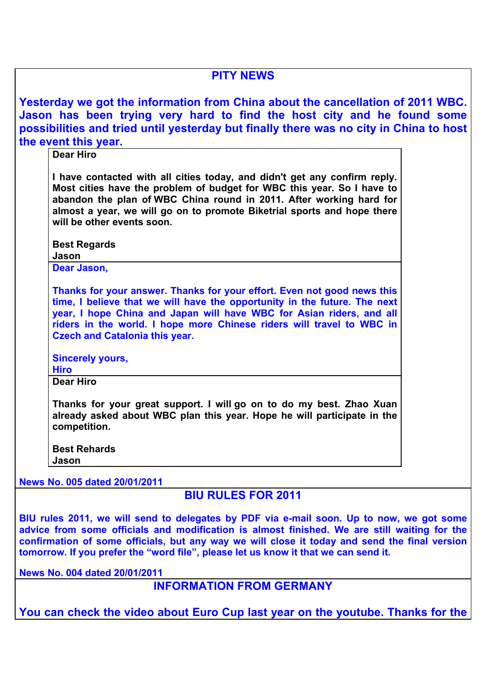| <b>PITY NEWS</b>                                                                                                                                                                                                                                                                                                                                                                 |  |  |  |  |  |
|----------------------------------------------------------------------------------------------------------------------------------------------------------------------------------------------------------------------------------------------------------------------------------------------------------------------------------------------------------------------------------|--|--|--|--|--|
| Yesterday we got the information from China about the cancellation of 2011 WBC.<br>Jason has been trying very hard to find the host city and he found some<br>possibilities and tried until yesterday but finally there was no city in China to host<br>the event this year.                                                                                                     |  |  |  |  |  |
| <b>Dear Hiro</b>                                                                                                                                                                                                                                                                                                                                                                 |  |  |  |  |  |
| I have contacted with all cities today, and didn't get any confirm reply.<br>Most cities have the problem of budget for WBC this year. So I have to<br>abandon the plan of WBC China round in 2011. After working hard for<br>almost a year, we will go on to promote Biketrial sports and hope there<br>will be other events soon.                                              |  |  |  |  |  |
| <b>Best Regards</b>                                                                                                                                                                                                                                                                                                                                                              |  |  |  |  |  |
| Jason<br>Dear Jason,                                                                                                                                                                                                                                                                                                                                                             |  |  |  |  |  |
|                                                                                                                                                                                                                                                                                                                                                                                  |  |  |  |  |  |
| Thanks for your answer. Thanks for your effort. Even not good news this<br>time, I believe that we will have the opportunity in the future. The next<br>year, I hope China and Japan will have WBC for Asian riders, and all<br>riders in the world. I hope more Chinese riders will travel to WBC in<br><b>Czech and Catalonia this year.</b>                                   |  |  |  |  |  |
| <b>Sincerely yours,</b><br><b>Hiro</b>                                                                                                                                                                                                                                                                                                                                           |  |  |  |  |  |
| <b>Dear Hiro</b>                                                                                                                                                                                                                                                                                                                                                                 |  |  |  |  |  |
| Thanks for your great support. I will go on to do my best. Zhao Xuan<br>already asked about WBC plan this year. Hope he will participate in the<br>competition.                                                                                                                                                                                                                  |  |  |  |  |  |
| <b>Best Rehards</b><br>Jason                                                                                                                                                                                                                                                                                                                                                     |  |  |  |  |  |
|                                                                                                                                                                                                                                                                                                                                                                                  |  |  |  |  |  |
| News No. 005 dated 20/01/2011                                                                                                                                                                                                                                                                                                                                                    |  |  |  |  |  |
| <b>BIU RULES FOR 2011</b>                                                                                                                                                                                                                                                                                                                                                        |  |  |  |  |  |
| BIU rules 2011, we will send to delegates by PDF via e-mail soon. Up to now, we got some<br>advice from some officials and modification is almost finished. We are still waiting for the<br>confirmation of some officials, but any way we will close it today and send the final version<br>tomorrow. If you prefer the "word file", please let us know it that we can send it. |  |  |  |  |  |
| News No. 004 dated 20/01/2011                                                                                                                                                                                                                                                                                                                                                    |  |  |  |  |  |
| <b>INFORMATION FROM GERMANY</b>                                                                                                                                                                                                                                                                                                                                                  |  |  |  |  |  |
| You can check the video about Euro Cup last year on the youtube. Thanks for the                                                                                                                                                                                                                                                                                                  |  |  |  |  |  |
|                                                                                                                                                                                                                                                                                                                                                                                  |  |  |  |  |  |
|                                                                                                                                                                                                                                                                                                                                                                                  |  |  |  |  |  |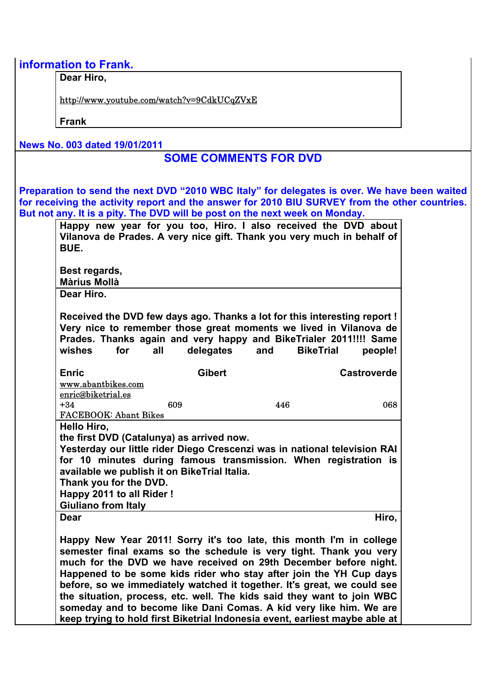|  |  |  | information to Frank. |  |
|--|--|--|-----------------------|--|
|  |  |  |                       |  |

**Dear Hiro,**

http://www.youtube.com/watch?v=9CdkUCqZVxE

**Frank**

**News No. 003 dated 19/01/2011**

## **SOME COMMENTS FOR DVD**

**Preparation to send the next DVD "2010 WBC Italy" for delegates is over. We have been waited for receiving the activity report and the answer for 2010 BIU SURVEY from the other countries. But not any. It is a pity. The DVD will be post on the next week on Monday.**

| <b>Màrius Mollà</b><br>Dear Hiro.<br>Received the DVD few days ago. Thanks a lot for this interesting report !<br>Very nice to remember those great moments we lived in Vilanova de<br>Prades. Thanks again and very happy and BikeTrialer 2011!!!! Same<br>delegates<br>for<br>all<br>and<br><b>BikeTrial</b><br>people!<br><b>Gibert</b><br><b>Castroverde</b> |  |  |  |  |  |  |  |  |
|------------------------------------------------------------------------------------------------------------------------------------------------------------------------------------------------------------------------------------------------------------------------------------------------------------------------------------------------------------------|--|--|--|--|--|--|--|--|
|                                                                                                                                                                                                                                                                                                                                                                  |  |  |  |  |  |  |  |  |
|                                                                                                                                                                                                                                                                                                                                                                  |  |  |  |  |  |  |  |  |
|                                                                                                                                                                                                                                                                                                                                                                  |  |  |  |  |  |  |  |  |
| www.abantbikes.com                                                                                                                                                                                                                                                                                                                                               |  |  |  |  |  |  |  |  |
| enric@biketrial.es<br>609<br>446<br>068                                                                                                                                                                                                                                                                                                                          |  |  |  |  |  |  |  |  |
| <b>FACEBOOK: Abant Bikes</b>                                                                                                                                                                                                                                                                                                                                     |  |  |  |  |  |  |  |  |
| Hello Hiro,                                                                                                                                                                                                                                                                                                                                                      |  |  |  |  |  |  |  |  |
| the first DVD (Catalunya) as arrived now.                                                                                                                                                                                                                                                                                                                        |  |  |  |  |  |  |  |  |
| Yesterday our little rider Diego Crescenzi was in national television RAI                                                                                                                                                                                                                                                                                        |  |  |  |  |  |  |  |  |
| for 10 minutes during famous transmission. When registration is                                                                                                                                                                                                                                                                                                  |  |  |  |  |  |  |  |  |
| available we publish it on BikeTrial Italia.<br>Thank you for the DVD.                                                                                                                                                                                                                                                                                           |  |  |  |  |  |  |  |  |
| Happy 2011 to all Rider!                                                                                                                                                                                                                                                                                                                                         |  |  |  |  |  |  |  |  |
| <b>Giuliano from Italy</b>                                                                                                                                                                                                                                                                                                                                       |  |  |  |  |  |  |  |  |
| Hiro,                                                                                                                                                                                                                                                                                                                                                            |  |  |  |  |  |  |  |  |